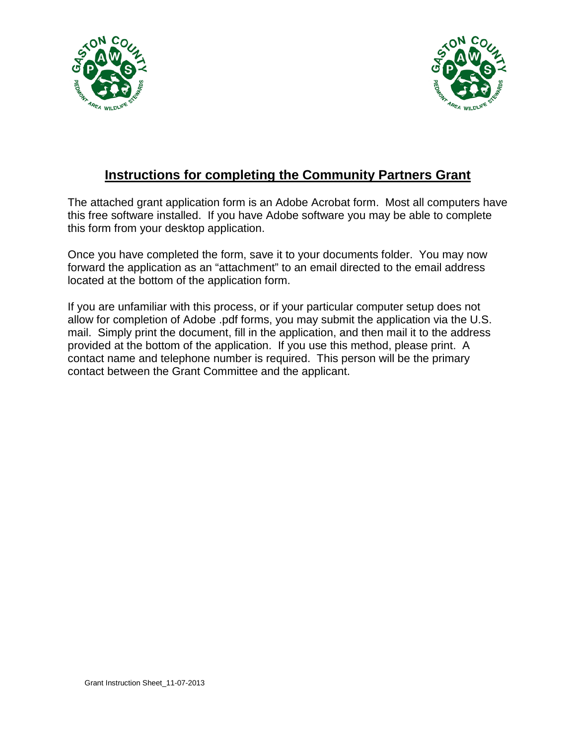



## **Instructions for completing the Community Partners Grant**

The attached grant application form is an Adobe Acrobat form. Most all computers have this free software installed. If you have Adobe software you may be able to complete this form from your desktop application.

Once you have completed the form, save it to your documents folder. You may now forward the application as an "attachment" to an email directed to the email address located at the bottom of the application form.

If you are unfamiliar with this process, or if your particular computer setup does not allow for completion of Adobe .pdf forms, you may submit the application via the U.S. mail. Simply print the document, fill in the application, and then mail it to the address provided at the bottom of the application. If you use this method, please print. A contact name and telephone number is required. This person will be the primary contact between the Grant Committee and the applicant.